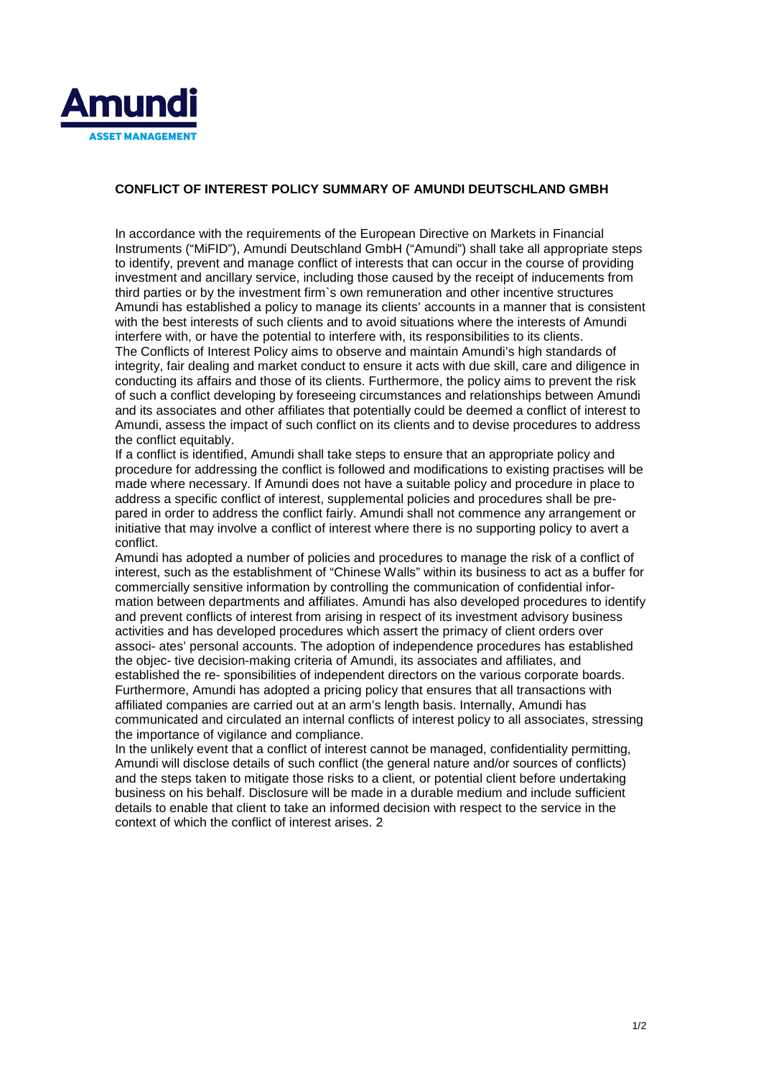

## **CONFLICT OF INTEREST POLICY SUMMARY OF AMUNDI DEUTSCHLAND GMBH**

In accordance with the requirements of the European Directive on Markets in Financial Instruments ("MiFID"), Amundi Deutschland GmbH ("Amundi") shall take all appropriate steps to identify, prevent and manage conflict of interests that can occur in the course of providing investment and ancillary service, including those caused by the receipt of inducements from third parties or by the investment firm`s own remuneration and other incentive structures Amundi has established a policy to manage its clients' accounts in a manner that is consistent with the best interests of such clients and to avoid situations where the interests of Amundi interfere with, or have the potential to interfere with, its responsibilities to its clients. The Conflicts of Interest Policy aims to observe and maintain Amundi's high standards of integrity, fair dealing and market conduct to ensure it acts with due skill, care and diligence in conducting its affairs and those of its clients. Furthermore, the policy aims to prevent the risk of such a conflict developing by foreseeing circumstances and relationships between Amundi and its associates and other affiliates that potentially could be deemed a conflict of interest to Amundi, assess the impact of such conflict on its clients and to devise procedures to address the conflict equitably.

If a conflict is identified, Amundi shall take steps to ensure that an appropriate policy and procedure for addressing the conflict is followed and modifications to existing practises will be made where necessary. If Amundi does not have a suitable policy and procedure in place to address a specific conflict of interest, supplemental policies and procedures shall be prepared in order to address the conflict fairly. Amundi shall not commence any arrangement or initiative that may involve a conflict of interest where there is no supporting policy to avert a conflict.

Amundi has adopted a number of policies and procedures to manage the risk of a conflict of interest, such as the establishment of "Chinese Walls" within its business to act as a buffer for commercially sensitive information by controlling the communication of confidential information between departments and affiliates. Amundi has also developed procedures to identify and prevent conflicts of interest from arising in respect of its investment advisory business activities and has developed procedures which assert the primacy of client orders over associ- ates' personal accounts. The adoption of independence procedures has established the objec- tive decision-making criteria of Amundi, its associates and affiliates, and established the re- sponsibilities of independent directors on the various corporate boards. Furthermore, Amundi has adopted a pricing policy that ensures that all transactions with affiliated companies are carried out at an arm's length basis. Internally, Amundi has communicated and circulated an internal conflicts of interest policy to all associates, stressing the importance of vigilance and compliance.

In the unlikely event that a conflict of interest cannot be managed, confidentiality permitting, Amundi will disclose details of such conflict (the general nature and/or sources of conflicts) and the steps taken to mitigate those risks to a client, or potential client before undertaking business on his behalf. Disclosure will be made in a durable medium and include sufficient details to enable that client to take an informed decision with respect to the service in the context of which the conflict of interest arises. 2